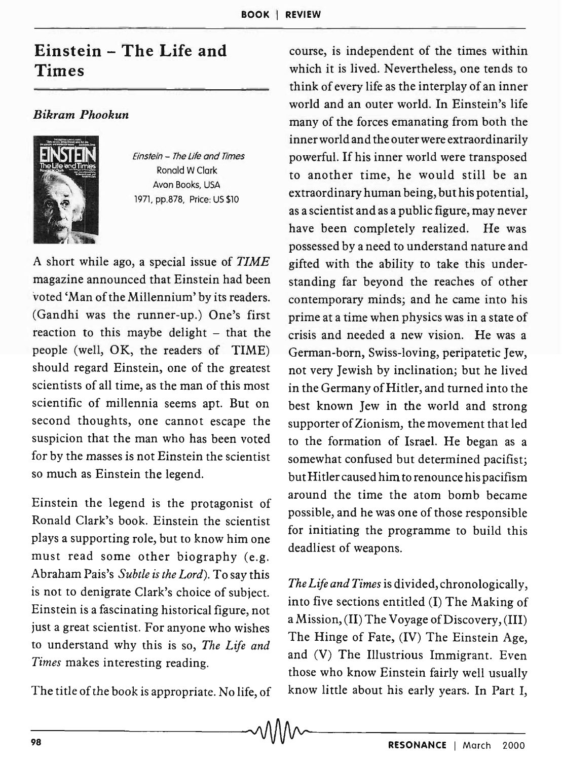## Einstein - The Life and Times

## *Bikram Phookun*



Einstein - The life and Times Ronald W Clark Avon Books, USA 1971, pp.878, Price: US \$10

A short while ago, a special issue of *TIME*  magazine announced that Einstein had been voted 'Man of the Millennium' by its readers. (Gandhi was the runner-up.) One's first reaction to this maybe delight  $-$  that the people (well, OK, the readers of TIME) should regard Einstein, one of the greatest scien tists of all time, as the man of this most scientific of millennia seems apt. But on second thoughts, one cannot escape the suspicion that the man who has been voted for by the masses is not Einstein the scientist so much as Einstein the legend.

Einstein the legend is the protagonist of Ronald Clark's book. Einstein the scientist plays a supporting role, but to know him one must read some other biography (e.g. Abraham Pais's *Subtle is the Lord).* To say this is not to denigrate Clark's choice of subject. Einstein is a fascinating historical figure, not just a great scientist. For anyone who wishes to understand why this is so, *The Life and Times* makes interesting reading.

The title of the book is appropriate. No life, of

course, is independent of the times within which it is lived. Nevertheless, one tends to think of every life as the interplay of an inner world and an outer world. In Einstein's life many of the forces emanating from both the inner world and the outer were extraordinarily powerful. If his inner world were transposed to another time, he would still be an extraordinary human being, but his potential, as a scientist and as a public figure, may never have been completely realized. He was possessed by a need to understand nature and gifted with the ability to take this understanding far beyond the reaches of other contemporary minds; and he came into his prime at a time when physics was in a state of crisis and needed a new vision. He was a German-born, Swiss-loving, peripatetic Jew, not very Jewish by inclination; but he lived in the Germany of Hitler, and turned into the best known Jew in the world and strong supporter of Zionism, the movement that led to the formation of Israel. He began as a somewhat confused but determined pacifist; but Hitler caused him to renounce his pacifism around the time the atom bomb became possible, and he was one of those responsible for initiating the programme to build this deadliest of weapons.

*The Life and Times* is divided, chronologically, into five sections entitled (I) The Making of a Mission, (II) The Voyage of Discovery , (III) The Hinge of Fate, (IV) The Einstein Age, and (V) The Illustrious Immigrant. Even those who know Einstein fairly well usually know little about his early years. In Part I,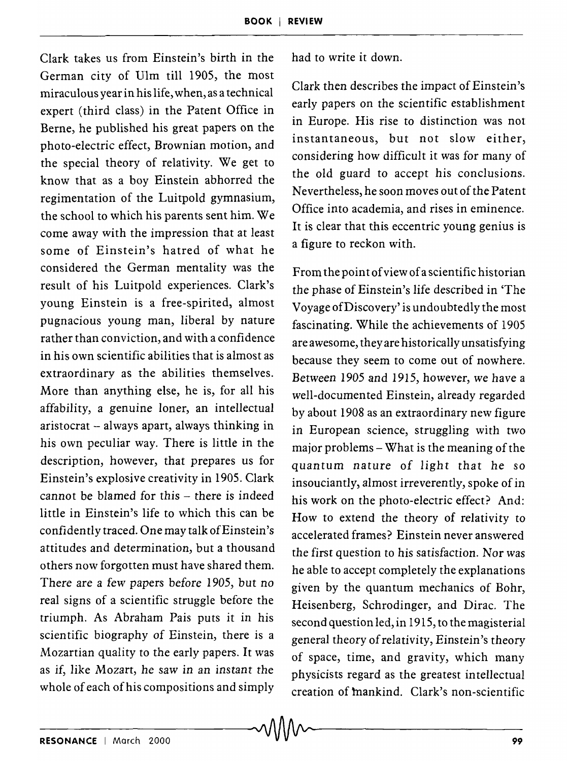Clark takes us from Einstein's birth in the German city of VIm till 1905, the most miraculous year in his life, when, as a technical expert (third class) in the Patent Office in Berne, he published his great papers on the photo-electric effect, Brownian motion, and the special theory of relativity. We get to know that as a boy Einstein abhorred the regimentation of the Luitpold gymnasium, the school to which his parents sent him. We come away with the impression that at least some of Einstein's hatred of what he considered the German mentality was the result of his Luitpold experiences. Clark's young Einstein is a free-spirited, almost pugnacious young man, liberal by nature rather than conviction, and with a confidence in his own scientific abilities that is almost as extraordinary as the abilities themselves. More than anything else, he is, for all his affability, a genuine loner, an intellectual aristocrat - always apart, always thinking in his own peculiar way. There is little in the description, however, that prepares us for Einstein's explosive creativity in 1905. Clark cannot be blamed for this  $-$  there is indeed little in Einstein's life to which this can be confidently traced. One may talk of Einstein's attitudes and determination, but a thousand others now forgotten must have shared them. There are a few papers before 1905, but no real signs of a scientific struggle before the triumph. As Abraham Pais puts it in his scientific biography of Einstein, there is a Mozartian quality to the early papers. It was as if, like Mozart, he saw in an instant the whole of each of his compositions and simply

had to write it down.

Clark then describes the impact of Einstein's early papers on the scientific establishment in Europe. His rise to distinction was not instantaneous, but not slow either, considering how difficult it was for many of the old guard to accept his conclusions. Nevertheless, he soon moves out of the Patent Office into academia, and rises in eminence. It is clear that this eccentric young genius is a figure to reckon with.

From the point of view of a scientific historian the phase of Einstein's life described in 'The Voyage of Discovery' is undoubtedly the most fascinating. While the achievements of 1905 are awesome, they are historically unsatisfying because they seem to come out of nowhere. Between 1905 and 1915, however, we have a well-documented Einstein, already regarded by about 1908 as an extraordinary new figure in European science, struggling with two major problems - What is the meaning of the quantum nature of light that he so insouciantly, almost irreverently, spoke of in his work on the photo-electric effect? And: How to extend the theory of relativity to accelerated frames? Einstein never answered the first question to his satisfaction. Nor was he able to accept completely the explanations given by the quantum mechanics of Bohr, Heisenberg, Schrodinger, and Dirac. The second question led, in 1915, to the magisterial general theory of relativity, Einstein's theory of space, time, and gravity, which many physicists regard as the greatest intellectual creation of mankind. Clark's non-scientific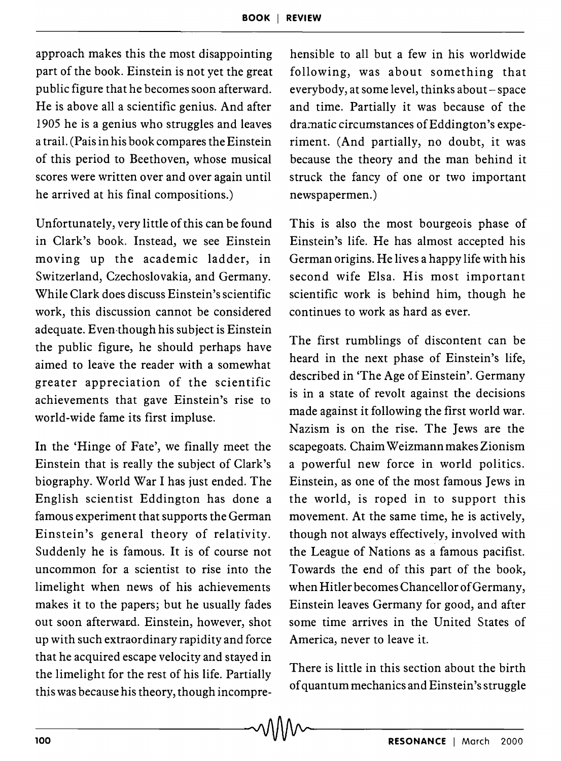approach makes this the most disappointing part of the book. Einstein is not yet the great public figure that he becomes soon afterward. He is above all a scientific genius. And after 1905 he is a genius who struggles and leaves a trail. (Pais in his book compares the Einstein of this period to Beethoven, whose musical scores were written over and over again until he arrived at his final compositions.)

Unfortunately, very little of this can be found in Clark's book. Instead, we see Einstein moving up the academic ladder, in Switzerland, Czechoslovakia, and Germany. While Clark does discuss Einstein's scientific work, this discussion cannot be considered adequate. Even-though his subject is Einstein the public figure, he should perhaps have aimed to leave the reader with a somewhat greater appreciation of the scientific achievements that gave Einstein's rise to world-wide fame its first impluse.

In the 'Hinge of Fate', we finally meet the Einstein that is really the subject of Clark's biography. World War I has just ended. The English scientist Eddington has done a famous experiment that supports the German Einstein's general theory of relativity. Suddenly he is famous. It is of course not uncommon for a scientist to rise into the limelight when news of his achievements makes it to the papers; but he usually fades out soon afterward. Einstein, however, shot up with such extraordinary rapidity and force that he acquired escape velocity and stayed in the limelight for the rest of his life. Partially this was because his theory, though incompre-

hensible to all but a few in his worldwide following, was about something that everybody, at some level, thinks about - space and time. Partially it was because of the dramatic circumstances of Eddington's experiment. (And partially, no doubt, it was because the theory and the man behind it struck the fancy of one or two important newspapermen. )

This is also the most bourgeois phase of Einstein's life. He has almost accepted his German origins. He lives a happy life with his second wife Elsa. His most important scientific work is behind him, though he continues to work as hard as ever.

The first rumblings of discontent can be heard in the next phase of Einstein's life, described in 'The Age of Einstein'. Germany is in a state of revolt against the decisions made against it following the first world war. Nazism is on the rise. The Jews are the scapegoats. Chaim WeizmannmakesZionism a powerful new force in world politics. Einstein, as one of the most famous Jews in the world, is roped in to support this movement. At the same time, he is actively, though not always effectively, involved with the League of Nations as a famous pacifist. Towards the end of this part of the book, when Hitler becomes Chancellor of Germany, Einstein leaves Germany for good, and after some time arrives in the United States of America, never to leave it.

There is little in this section about the birth of quantum mechanics and Einstein's struggle